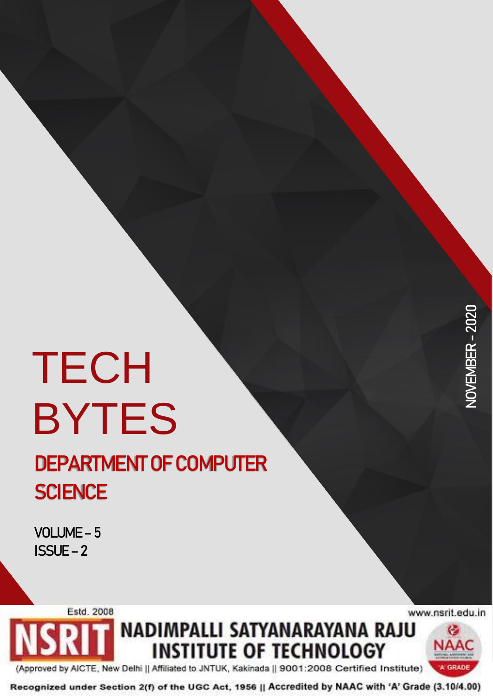# **TECH** BYTES

## **DEPARTMENT OF COMPUTER SCIENCE**

**VOLUME – 5 ISSUE – 2**

Estd. 2008

www.nsrit.edu.in

NADIMPALLI SATYANARAYANA RAJU G **INSTITUTE OF TECHNOLOGY** NAAC

(Approved by AICTE, New Delhi || Affiliated to JNTUK, Kakinada || 9001:2008 Certified Institute)

Recognized under Section 2(f) of the UGC Act, 1956 || Accredited by NAAC with 'A' Grade (3.10/4.00)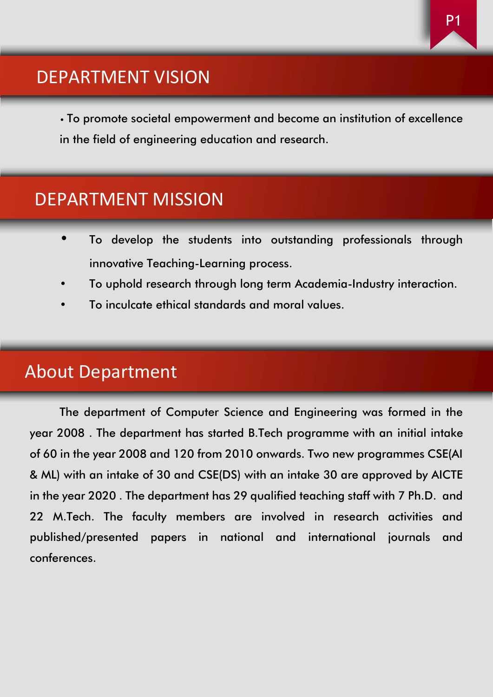#### DEPARTMENT VISION

• To promote societal empowerment and become an institution of excellence in the field of engineering education and research.

#### DEPARTMENT MISSION

- To develop the students into outstanding professionals through innovative Teaching-Learning process.
- To uphold research through long term Academia-Industry interaction.
- To inculcate ethical standards and moral values.

#### About Department

The department of Computer Science and Engineering was formed in the year 2008 . The department has started B.Tech programme with an initial intake of 60 in the year 2008 and 120 from 2010 onwards. Two new programmes CSE(AI & ML) with an intake of 30 and CSE(DS) with an intake 30 are approved by AICTE in the year 2020 . The department has 29 qualified teaching staff with 7 Ph.D. and 22 M.Tech. The faculty members are involved in research activities and published/presented papers in national and international journals and conferences.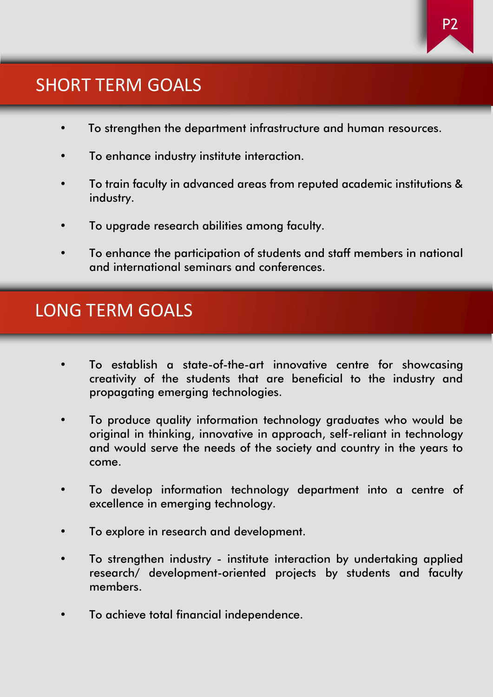#### SHORT TERM GOALS

- To strengthen the department infrastructure and human resources.
- To enhance industry institute interaction.
- To train faculty in advanced areas from reputed academic institutions & industry.
- To upgrade research abilities among faculty.
- To enhance the participation of students and staff members in national and international seminars and conferences.

#### LONG TERM GOALS

- To establish a state-of-the-art innovative centre for showcasing creativity of the students that are beneficial to the industry and propagating emerging technologies.
- To produce quality information technology graduates who would be original in thinking, innovative in approach, self-reliant in technology and would serve the needs of the society and country in the years to come.
- To develop information technology department into a centre of excellence in emerging technology.
- To explore in research and development.
- To strengthen industry institute interaction by undertaking applied research/ development-oriented projects by students and faculty members.
- To achieve total financial independence.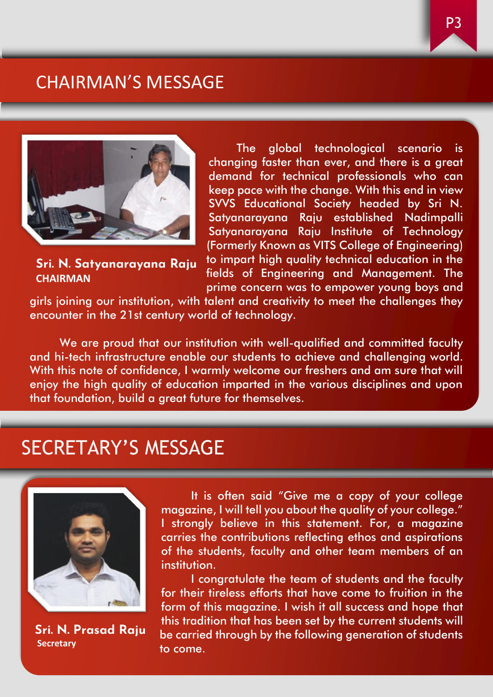#### CHAIRMAN'S MESSAGE



**Sri. N. Satyanarayana Raju CHAIRMAN**

The global technological scenario is changing faster than ever, and there is a great demand for technical professionals who can keep pace with the change. With this end in view SVVS Educational Society headed by Sri N. Satyanarayana Raju established Nadimpalli Satyanarayana Raju Institute of Technology (Formerly Known as VITS College of Engineering) to impart high quality technical education in the fields of Engineering and Management. The

prime concern was to empower young boys and

girls joining our institution, with talent and creativity to meet the challenges they encounter in the 21st century world of technology.

We are proud that our institution with well-qualified and committed faculty and hi-tech infrastructure enable our students to achieve and challenging world. With this note of confidence, I warmly welcome our freshers and am sure that will enjoy the high quality of education imparted in the various disciplines and upon that foundation, build a great future for themselves.

#### SECRETARY'S MESSAGE



**Sri. N. Prasad Raju Secretary**

It is often said "Give me a copy of your college magazine, I will tell you about the quality of your college." I strongly believe in this statement. For, a magazine carries the contributions reflecting ethos and aspirations of the students, faculty and other team members of an institution.

I congratulate the team of students and the faculty for their tireless efforts that have come to fruition in the form of this magazine. I wish it all success and hope that this tradition that has been set by the current students will be carried through by the following generation of students to come.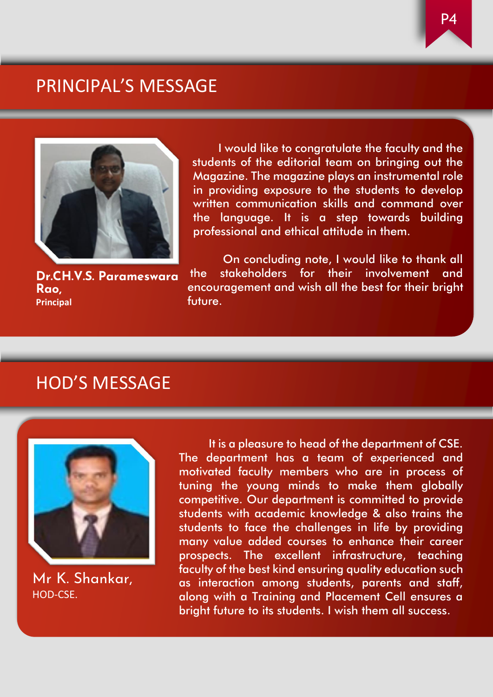#### PRINCIPAL'S MESSAGE



I would like to congratulate the faculty and the students of the editorial team on bringing out the Magazine. The magazine plays an instrumental role in providing exposure to the students to develop written communication skills and command over the language. It is a step towards building professional and ethical attitude in them.

**Dr.CH.V.S. Parameswara Rao, Principal**

On concluding note, I would like to thank all the stakeholders for their involvement and encouragement and wish all the best for their bright future.

#### HOD'S MESSAGE



Mr K. Shankar, HOD-CSE.

It is a pleasure to head of the department of CSE. The department has a team of experienced and motivated faculty members who are in process of tuning the young minds to make them globally competitive. Our department is committed to provide students with academic knowledge & also trains the students to face the challenges in life by providing many value added courses to enhance their career prospects. The excellent infrastructure, teaching faculty of the best kind ensuring quality education such as interaction among students, parents and staff, along with a Training and Placement Cell ensures a bright future to its students. I wish them all success.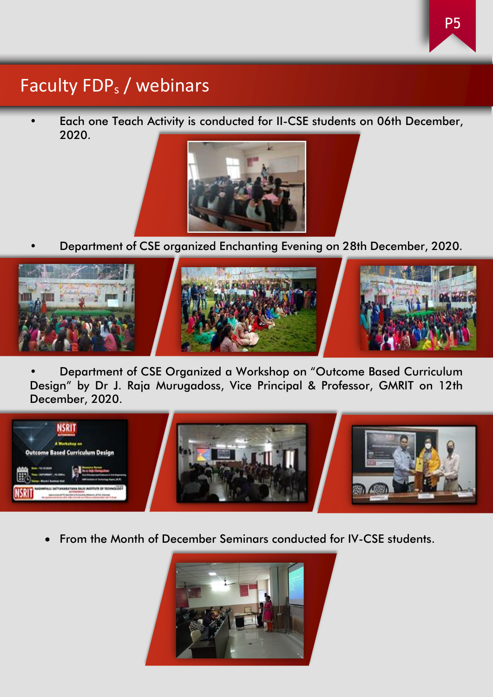#### Faculty FDP<sup>s</sup> / webinars

• Each one Teach Activity is conducted for II-CSE students on 06th December, 2020.



• Department of CSE organized Enchanting Evening on 28th December, 2020.



• Department of CSE Organized a Workshop on "Outcome Based Curriculum Design" by Dr J. Raja Murugadoss, Vice Principal & Professor, GMRIT on 12th December, 2020.



• From the Month of December Seminars conducted for IV-CSE students.

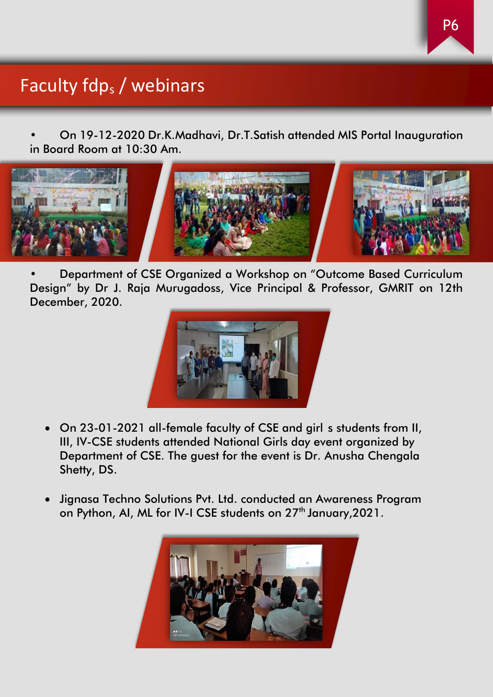### Faculty fdp<sub>s</sub> / webinars

• On 19-12-2020 Dr.K.Madhavi, Dr.T.Satish attended MIS Portal Inauguration in Board Room at 10:30 Am.



• Department of CSE Organized a Workshop on "Outcome Based Curriculum Design" by Dr J. Raja Murugadoss, Vice Principal & Professor, GMRIT on 12th December, 2020.



- On 23-01-2021 all-female faculty of CSE and girl s students from II, III, IV-CSE students attended National Girls day event organized by Department of CSE. The guest for the event is Dr. Anusha Chengala Shetty, DS.
- Jignasa Techno Solutions Pvt. Ltd. conducted an Awareness Program on Python, AI, ML for IV-I CSE students on 27<sup>th</sup> January, 2021.